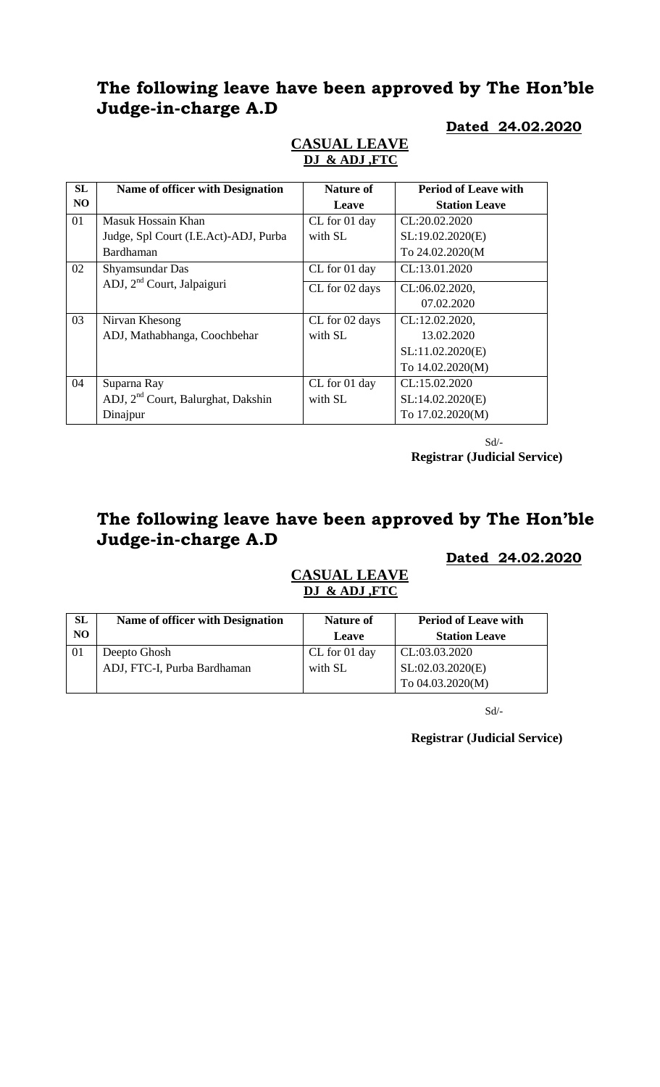# **The following leave have been approved by The Hon'ble Judge-in-charge A.D**

### **Dated 24.02.2020**

| SL             | Name of officer with Designation               | <b>Nature of</b> | <b>Period of Leave with</b> |
|----------------|------------------------------------------------|------------------|-----------------------------|
| N <sub>O</sub> |                                                | Leave            | <b>Station Leave</b>        |
| 01             | Masuk Hossain Khan                             | CL for 01 day    | CL:20.02.2020               |
|                | Judge, Spl Court (I.E.Act)-ADJ, Purba          | with SL          | SL:19.02.2020(E)            |
|                | Bardhaman                                      |                  | To 24.02.2020(M             |
| 02             | Shyamsundar Das                                | CL for 01 day    | CL:13.01.2020               |
|                | ADJ, 2 <sup>nd</sup> Court, Jalpaiguri         | CL for 02 days   | CL:06.02.2020,              |
|                |                                                |                  | 07.02.2020                  |
| 03             | Nirvan Khesong                                 | CL for 02 days   | CL:12.02.2020,              |
|                | ADJ, Mathabhanga, Coochbehar                   | with SL          | 13.02.2020                  |
|                |                                                |                  | SL:11.02.2020(E)            |
|                |                                                |                  | To 14.02.2020(M)            |
| 04             | Suparna Ray                                    | CL for 01 day    | CL:15.02.2020               |
|                | ADJ, 2 <sup>nd</sup> Court, Balurghat, Dakshin | with SL          | SL:14.02.2020(E)            |
|                | Dinajpur                                       |                  | To 17.02.2020(M)            |

# **CASUAL LEAVE DJ & ADJ ,FTC**

Sd/- **Registrar (Judicial Service)**

# **The following leave have been approved by The Hon'ble Judge-in-charge A.D**

## **Dated 24.02.2020**

### **CASUAL LEAVE DJ & ADJ ,FTC**

| <b>SL</b>      | Name of officer with Designation | <b>Nature of</b> | <b>Period of Leave with</b> |
|----------------|----------------------------------|------------------|-----------------------------|
| N <sub>O</sub> |                                  | Leave            | <b>Station Leave</b>        |
|                | Deepto Ghosh                     | CL for 01 day    | CL:03.03.2020               |
|                | ADJ, FTC-I, Purba Bardhaman      | with SL          | SL:02.03.2020(E)            |
|                |                                  |                  | To 04.03.2020(M)            |

Sd/-

**Registrar (Judicial Service)**